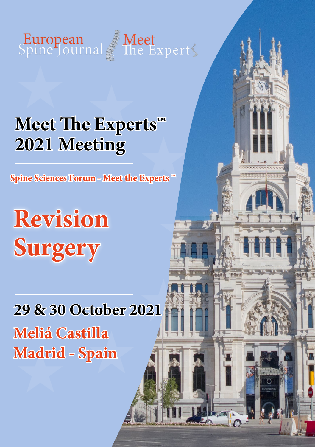

## **Meet The Experts™ 2021 Meeting**

**Spine Sciences Forum - Meet the Experts ™**

# **Revision Surgery**

### **29 & 30 October 2021 Meliá Castilla Madrid - Spain**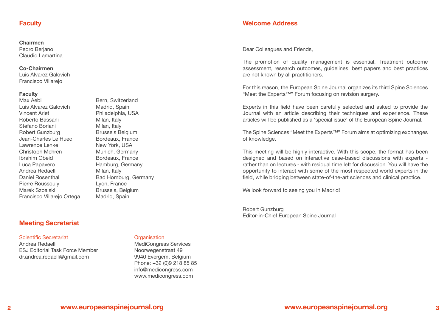#### **Faculty**

#### **Chairmen**

Pedro Beriano Claudio Lamartina

#### **Co-Chairmen**

Luis Alvarez Galovich Francisco Villarejo

#### **Faculty**

Max Aebi **Bern**, Switzerland Luis Alvarez Galovich Madrid, Spain Vincent Arlet Philadelphia, USA Roberto Bassani Milan, Italy Stefano Boriani Milan, Italy Robert Gunzburg Brussels Belgium Jean-Charles Le Huec Bordeaux, France Lawrence Lenke New York, USA Christoph Mehren Munich, Germany Ibrahim Obeid Bordeaux, France Luca Papavero Hamburg, Germany Andrea Redaelli Milan, Italy Daniel Rosenthal Bad Homburg, Germany Pierre Roussouly **Lyon, France** Marek Szpalski Brussels, Belgium Francisco Villarejo Ortega Madrid, Spain

### **Meeting Secretariat**

#### Scientific Secretariat **Construction** Croanisation

Andrea Redaelli MediCongress Services ESJ Editorial Task Force Member Noorwegenstraat 49 dr.andrea.redaelli@gmail.com 9940 Evergem, Belgium

 Phone: +32 (0)9 218 85 85 info@medicongress.com www.medicongress.com

#### **Welcome Address**

Dear Colleagues and Friends,

The promotion of quality management is essential. Treatment outcome assessment, research outcomes, guidelines, best papers and best practices are not known by all practitioners.

For this reason, the European Spine Journal organizes its third Spine Sciences "Meet the Experts™" Forum focusing on revision surgery.

Experts in this field have been carefully selected and asked to provide the Journal with an article describing their techniques and experience. These articles will be published as a 'special issue' of the European Spine Journal.

The Spine Sciences "Meet the Experts™" Forum aims at optimizing exchanges of knowledge.

This meeting will be highly interactive. With this scope, the format has been designed and based on interactive case-based discussions with experts rather than on lectures - with residual time left for discussion. You will have the opportunity to interact with some of the most respected world experts in the field, while bridging between state-of-the-art sciences and clinical practice.

We look forward to seeing you in Madrid!

Robert Gunzburg Editor-in-Chief European Spine Journal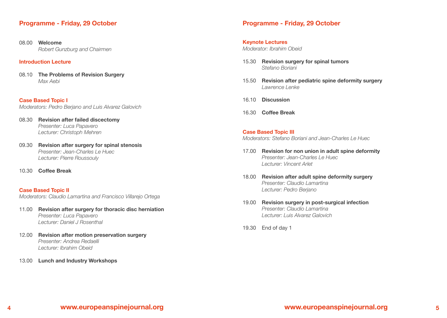#### **Programme - Friday, 29 October**

08.00 **Welcome** *Robert Gunzburg and Chairmen*

#### **Introduction Lecture**

08.10 **The Problems of Revision Surgery**  *Max Aebi*

**Case Based Topic I** *Moderators: Pedro Berjano and Luis Alvarez Galovich* 

- 08.30 **Revision after failed discectomy**  *Presenter: Luca Papavero Lecturer: Christoph Mehren*
- 09.30 **Revision after surgery for spinal stenosis**  *Presenter: Jean-Charles Le Huec Lecturer: Pierre Roussouly*
- 10.30 **Coffee Break**

#### **Case Based Topic II** *Moderators: Claudio Lamartina and Francisco Villarejo Ortega*

- 11.00 **Revision after surgery for thoracic disc herniation** *Presenter: Luca Papavero Lecturer: Daniel J Rosenthal*
- 12.00 **Revision after motion preservation surgery**  *Presenter: Andrea Redaelli Lecturer: Ibrahim Obeid*
- 13.00 **Lunch and Industry Workshops**

#### **Programme - Friday, 29 October**

#### **Keynote Lectures**

*Moderator: Ibrahim Obeid*

- 15.30 **Revision surgery for spinal tumors**  *Stefano Boriani*
- 15.50 **Revision after pediatric spine deformity surgery**  *Lawrence Lenke*
- 16.10 **Discussion**
- 16.30 **Coffee Break**

**Case Based Topic III** *Moderators: Stefano Boriani and Jean-Charles Le Huec*

- 17.00 **Revision for non union in adult spine deformity**  *Presenter: Jean-Charles Le Huec Lecturer: Vincent Arlet*
- 18.00 **Revision after adult spine deformity surgery**  *Presenter: Claudio Lamartina Lecturer: Pedro Berjano*
- 19.00 **Revision surgery in post-surgical infection** *Presenter: Claudio Lamartina Lecturer: Luis Alvarez Galovich*
- 19.30 End of day 1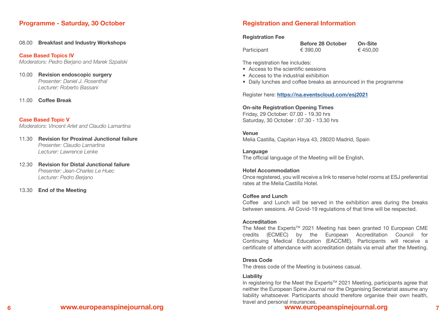#### **Programme - Saturday, 30 October**

08.00 **Breakfast and Industry Workshops**

**Case Based Topics IV** *Moderators: Pedro Berjano and Marek Szpalski*

10.00 **Revision endoscopic surgery**  *Presenter: Daniel J. Rosenthal Lecturer: Roberto Bassani*

11.00 **Coffee Break**

#### **Case Based Topic V**

*Moderators: Vincent Arlet and Claudio Lamartina*

- 11.30 **Revision for Proximal Junctional failure** *Presenter: Claudio Lamartina Lecturer: Lawrence Lenke*
- 12.30 **Revision for Distal Junctional failure** *Presenter: Jean-Charles Le Huec Lecturer: Pedro Berjano*

13.30 **End of the Meeting**

#### **Registration and General Information**

#### **Registration Fee**

|             | <b>Before 28 October</b> | On-Site |
|-------------|--------------------------|---------|
| Participant | € 390.00                 | €450,00 |

The registration fee includes:

- Access to the scientific sessions
- Access to the industrial exhibition
- Daily lunches and coffee breaks as announced in the programme

Register here: **[https://na.eventscloud.com/esj202](https://na.eventscloud.com/esj2020)1**

#### **On-site Registration Opening Times**

Friday, 29 October: 07.00 - 19.30 hrs Saturday, 30 October : 07.30 - 13.30 hrs

#### **Venue**

Melia Castilla, Capitan Haya 43, 28020 Madrid, Spain

**Language** The official language of the Meeting will be English.

#### **Hotel Accommodation**

Once registered, you will receive a link to reserve hotel rooms at ESJ preferential rates at the Melia Castilla Hotel.

#### **Coffee and Lunch**

Coffee and Lunch will be served in the exhibition area during the breaks between sessions. All Covid-19 regulations of that time will be respected.

#### **Accreditation**

The Meet the Experts<sup>™</sup> 2021 Meeting has been granted 10 European CME credits (ECMEC) by the European Accreditation Council for Continuing Medical Education (EACCME). Participants will receive a certificate of attendance with accreditation details via email after the Meeting.

#### **Dress Code**

The dress code of the Meeting is business casual.

#### **Liability**

In registering for the Meet the Experts<sup>™</sup> 2021 Meeting, participants agree that neither the European Spine Journal nor the Organising Secretariat assume any liability whatsoever. Participants should therefore organise their own health, travel and personal insurances.